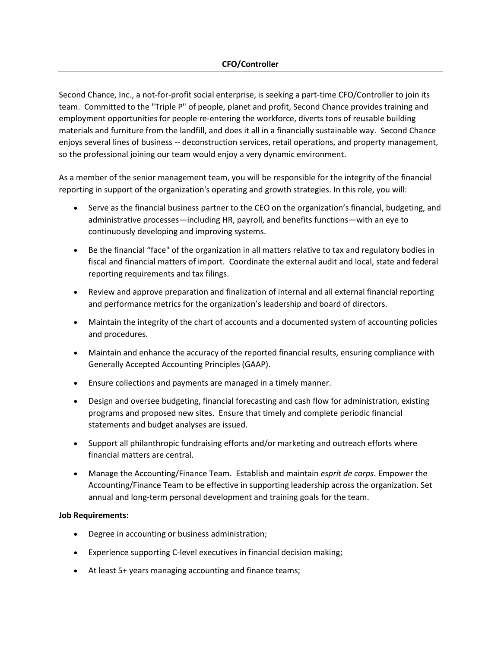Second Chance, Inc., a not-for-profit social enterprise, is seeking a part-time CFO/Controller to join its team. Committed to the "Triple P" of people, planet and profit, Second Chance provides training and employment opportunities for people re-entering the workforce, diverts tons of reusable building materials and furniture from the landfill, and does it all in a financially sustainable way. Second Chance enjoys several lines of business -- deconstruction services, retail operations, and property management, so the professional joining our team would enjoy a very dynamic environment.

As a member of the senior management team, you will be responsible for the integrity of the financial reporting in support of the organization's operating and growth strategies. In this role, you will:

- Serve as the financial business partner to the CEO on the organization's financial, budgeting, and administrative processes—including HR, payroll, and benefits functions—with an eye to continuously developing and improving systems.
- Be the financial "face" of the organization in all matters relative to tax and regulatory bodies in fiscal and financial matters of import. Coordinate the external audit and local, state and federal reporting requirements and tax filings.
- Review and approve preparation and finalization of internal and all external financial reporting and performance metrics for the organization's leadership and board of directors.
- Maintain the integrity of the chart of accounts and a documented system of accounting policies and procedures.
- Maintain and enhance the accuracy of the reported financial results, ensuring compliance with Generally Accepted Accounting Principles (GAAP).
- Ensure collections and payments are managed in a timely manner.
- Design and oversee budgeting, financial forecasting and cash flow for administration, existing programs and proposed new sites. Ensure that timely and complete periodic financial statements and budget analyses are issued.
- Support all philanthropic fundraising efforts and/or marketing and outreach efforts where financial matters are central.
- Manage the Accounting/Finance Team. Establish and maintain *esprit de corps*. Empower the Accounting/Finance Team to be effective in supporting leadership across the organization. Set annual and long-term personal development and training goals for the team.

## **Job Requirements:**

- Degree in accounting or business administration;
- Experience supporting C-level executives in financial decision making;
- At least 5+ years managing accounting and finance teams;